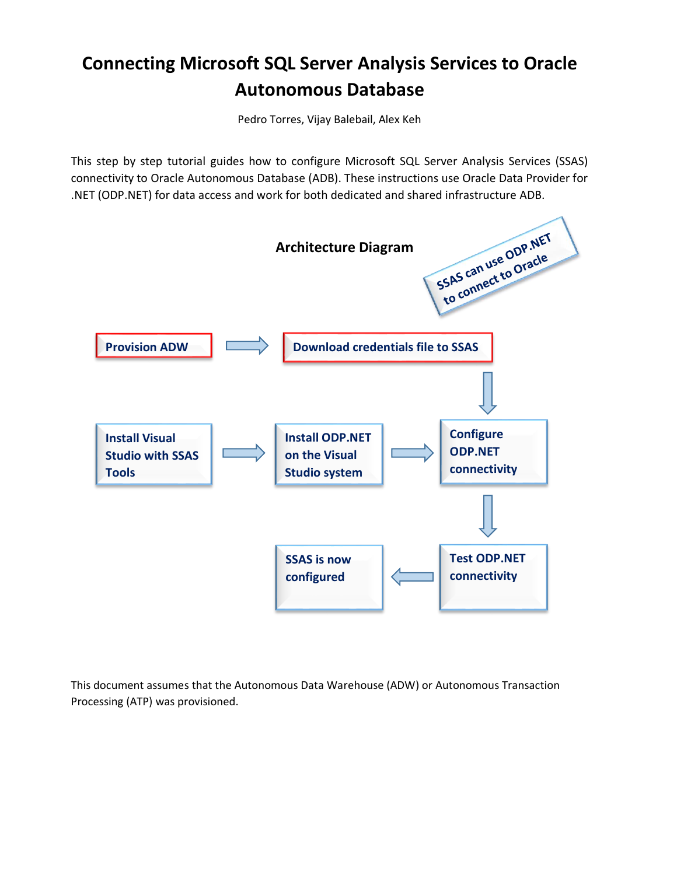# **Connecting Microsoft SQL Server Analysis Services to Oracle Autonomous Database**

Pedro Torres, Vijay Balebail, Alex Keh

This step by step tutorial guides how to configure Microsoft SQL Server Analysis Services (SSAS) connectivity to Oracle Autonomous Database (ADB). These instructions use Oracle Data Provider for .NET (ODP.NET) for data access and work for both dedicated and shared infrastructure ADB.



This document assumes that the Autonomous Data Warehouse (ADW) or Autonomous Transaction Processing (ATP) was provisioned.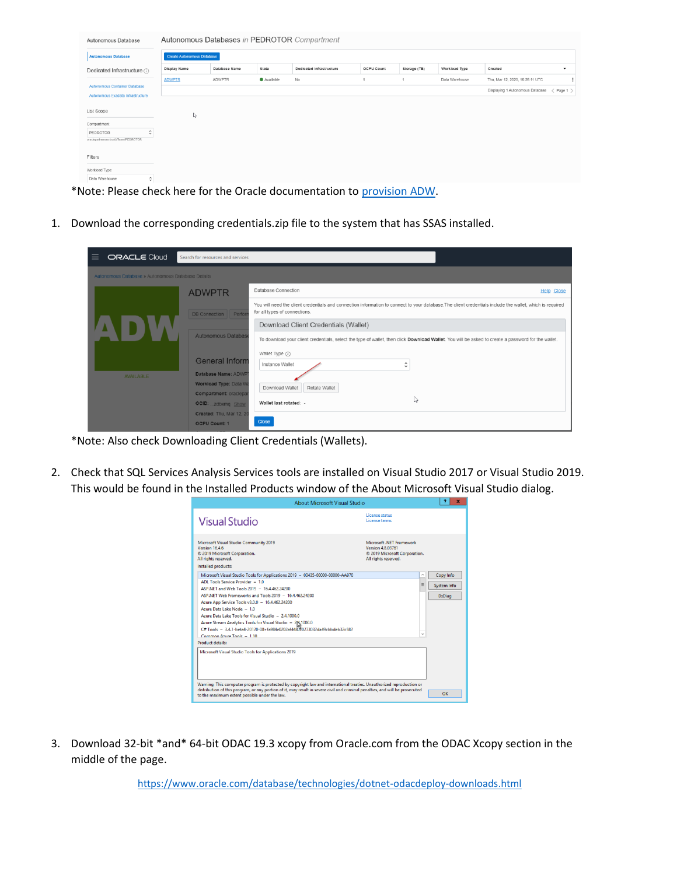| Autonomous Database                                                |                                   |                                                   |           | Autonomous Databases in PEDROTOR Compartment |                   |              |                |                                                                |
|--------------------------------------------------------------------|-----------------------------------|---------------------------------------------------|-----------|----------------------------------------------|-------------------|--------------|----------------|----------------------------------------------------------------|
| <b>Autonomous Database</b>                                         | <b>Create Autonomous Database</b> |                                                   |           |                                              |                   |              |                |                                                                |
| Dedicated Infrastructure (i)                                       | Display Name                      | Database Name                                     | State     | Dedicated Infrastructure                     | <b>OCPU Count</b> | Storage (TB) | Workload Type  | Created<br>$\check{}$                                          |
|                                                                    | <b>ADWPTR</b>                     | <b>ADWPTR</b>                                     | Available | No                                           |                   |              | Data Warehouse | Thu, Mar 12, 2020, 16:26:11 UTC                                |
| Autonomous Container Database<br>Autonomous Exadata Infrastructure |                                   |                                                   |           |                                              |                   |              |                | Displaying 1 Autonomous Database<br>$\langle$ Page 1 $\rangle$ |
| List Scope                                                         | S.                                |                                                   |           |                                              |                   |              |                |                                                                |
| Compartment                                                        |                                   |                                                   |           |                                              |                   |              |                |                                                                |
| $\hat{\phantom{a}}$<br>PEDROTOR                                    |                                   |                                                   |           |                                              |                   |              |                |                                                                |
| oraclepartnersas (root)/Team/PEDROTOR                              |                                   |                                                   |           |                                              |                   |              |                |                                                                |
| Filters                                                            |                                   |                                                   |           |                                              |                   |              |                |                                                                |
| Workload Type                                                      |                                   |                                                   |           |                                              |                   |              |                |                                                                |
| $\hat{\cdot}$<br>Data Warehouse                                    |                                   |                                                   |           |                                              |                   |              |                |                                                                |
| .<br>$\mathbf{r}$                                                  | $\mathbf{1}$                      | $\mathbf{r}$ . The set of the set of $\mathbf{r}$ |           | .                                            | $\sim$            | .            |                |                                                                |

\*Note: Please check here for the Oracle documentation to [provision ADW.](https://www.oracle.com/webfolder/technetwork/tutorials/obe/cloud/adwc/OBE_Provisioning_Autonomous_Data_Warehouse_Cloud_bak/provisioning_autonomous_data_warehouse_cloud_v2.html)

1. Download the corresponding credentials.zip file to the system that has SSAS installed.

| ORACLE Cloud<br>≡                                 | Search for resources and services                     |                                                                                                                                                                                            |
|---------------------------------------------------|-------------------------------------------------------|--------------------------------------------------------------------------------------------------------------------------------------------------------------------------------------------|
| Autonomous Database » Autonomous Database Details |                                                       |                                                                                                                                                                                            |
|                                                   | <b>ADWPTR</b>                                         | Database Connection<br><b>Help Close</b>                                                                                                                                                   |
|                                                   | DB Connection Perfor                                  | You will need the client credentials and connection information to connect to your database. The client credentials include the wallet, which is required<br>for all types of connections. |
|                                                   |                                                       | Download Client Credentials (Wallet)                                                                                                                                                       |
|                                                   | <b>Autonomous Database</b>                            | To download your client credentials, select the type of wallet, then click Download Wallet. You will be asked to create a password for the wallet.                                         |
|                                                   | <b>General Inform</b>                                 | Wallet Type (i)<br>Instance Wallet<br>$\sim$<br>$\sim$                                                                                                                                     |
| <b>AVAILABLE</b>                                  | Database Name: ADWP                                   |                                                                                                                                                                                            |
|                                                   | Workload Type: Data W<br><b>Compartment: oraclepa</b> | Download Wallet<br>Rotate Wallet                                                                                                                                                           |
|                                                   | <b>OCID:</b> zdbxmq Show                              | ш<br>Wallet last rotated: -                                                                                                                                                                |
|                                                   | Created: Thu. Mar 12, 20                              |                                                                                                                                                                                            |
|                                                   | <b>OCPU Count: 1</b>                                  | <b>Close</b>                                                                                                                                                                               |

\*Note: Also check Downloading Client Credentials (Wallets).

2. Check that SQL Services Analysis Services tools are installed on Visual Studio 2017 or Visual Studio 2019. This would be found in the Installed Products window of the About Microsoft Visual Studio dialog.

|                                                                                                                                                                                                                                                                                                                                                                                                                                                                                                                                                                        | About Microsoft Visual Studio                                                                                                                                                                                                                          | ж.                                        |
|------------------------------------------------------------------------------------------------------------------------------------------------------------------------------------------------------------------------------------------------------------------------------------------------------------------------------------------------------------------------------------------------------------------------------------------------------------------------------------------------------------------------------------------------------------------------|--------------------------------------------------------------------------------------------------------------------------------------------------------------------------------------------------------------------------------------------------------|-------------------------------------------|
| <b>Visual Studio</b>                                                                                                                                                                                                                                                                                                                                                                                                                                                                                                                                                   | License status<br>License terms                                                                                                                                                                                                                        |                                           |
| Microsoft Visual Studio Community 2019<br>Version 16.4.6<br>© 2019 Microsoft Corporation.<br>All rights reserved.<br>Installed products:                                                                                                                                                                                                                                                                                                                                                                                                                               | Microsoft .NFT Framework<br><b>Version 4.8.03761</b><br>C 2019 Microsoft Corporation.<br>All rights reserved.                                                                                                                                          |                                           |
| Microsoft Visual Studio Tools for Applications 2019 - 00435-60000-00000-AA970<br>ADL Tools Service Provider - 1.0<br>ASP NET and Web Tools 2019 - 16.4.462.24200<br>ASP.NET Web Frameworks and Tools 2019 - 16.4.462.24200<br>Azure App Service Tools v3.0.0 - 16.4.462.24200<br>Azure Data Lake Node - 1.0<br>Azure Data Lake Tools for Visual Studio - 2.4.1000.0<br>Azure Stream Analytics Tools for Visual Studio - 2N,1000.0<br>$C#$ Tools = 3.4.1-beta4-20120-08+fa984e0202af4480.273032da49cbbdeb32c582<br>Common Azure Tools = 1.10<br><b>Product details:</b> | Ξ                                                                                                                                                                                                                                                      | Copy Info<br>System Info<br><b>DxDiag</b> |
| Microsoft Visual Studio Tools for Applications 2019<br>to the maximum extent possible under the law.                                                                                                                                                                                                                                                                                                                                                                                                                                                                   | Warning: This computer program is protected by copyright law and international treaties. Unauthorized reproduction or<br>distribution of this program, or any portion of it, may result in severe civil and criminal penalties, and will be prosecuted | OK                                        |

3. Download 32-bit \*and\* 64-bit ODAC 19.3 xcopy from Oracle.com from the ODAC Xcopy section in the middle of the page.

<https://www.oracle.com/database/technologies/dotnet-odacdeploy-downloads.html>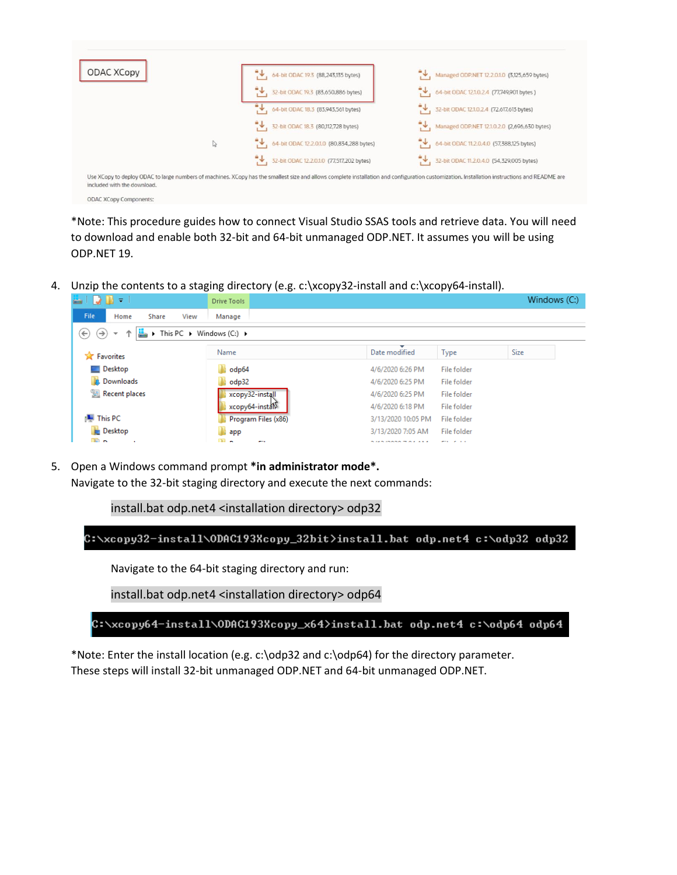| ODAC XCopy |   | $\downarrow$ , 64-bit ODAC 19.3 (88,243,135 bytes)                                                                                                                                            | Managed ODP.NET 12.2.0.1.0 (3,125,659 bytes) |
|------------|---|-----------------------------------------------------------------------------------------------------------------------------------------------------------------------------------------------|----------------------------------------------|
|            |   | 32-bit ODAC 19.3 (83,650,886 bytes)                                                                                                                                                           | 64-bit ODAC 12.1.0.2.4 (77,749,901 bytes )   |
|            |   | 4 64-bit ODAC 18.3 (83,943,561 bytes)                                                                                                                                                         | 4 32-bit ODAC 12.1.0.2.4 (72,617,613 bytes)  |
|            |   | 4 32-bit ODAC 18.3 (80,112,728 bytes)                                                                                                                                                         | Managed ODP.NET 12.1.0.2.0 (2,696,630 bytes) |
|            | ↳ | 64-bit ODAC 12.2.0.1.0 (80,834,288 bytes)                                                                                                                                                     | 64-bit ODAC 11.2.0.4.0 (57,388,125 bytes)    |
|            |   | 32-bit ODAC 12.2.0.1.0 (77,517,202 bytes)                                                                                                                                                     | 32-bit ODAC 11.2.0.4.0 (54,329,005 bytes)    |
|            |   | Use XCopy to deploy ODAC to large numbers of machines. XCopy has the smallest size and allows complete installation and configuration customization. Installation instructions and README are |                                              |

\*Note: This procedure guides how to connect Visual Studio SSAS tools and retrieve data. You will need to download and enable both 32-bit and 64-bit unmanaged ODP.NET. It assumes you will be using ODP.NET 19.

4. Unzip the contents to a staging directory (e.g. c:\xcopy32-install and c:\xcopy64-install).

| $\overline{\Psi}$ .<br>ò.                                                                                                                | Drive Tools          |                     |                         | Windows (C:) |  |
|------------------------------------------------------------------------------------------------------------------------------------------|----------------------|---------------------|-------------------------|--------------|--|
| File<br>Home<br>Share<br>View                                                                                                            | Manage               |                     |                         |              |  |
| $\triangleright$ This PC $\triangleright$ Windows (C:) $\triangleright$<br>$\leftarrow$<br>$\leftrightarrow$<br>$\overline{\phantom{a}}$ |                      |                     |                         |              |  |
| <b>X</b> Favorites                                                                                                                       | Name                 | Date modified       | <b>Type</b>             | <b>Size</b>  |  |
| Desktop                                                                                                                                  | odp64                | 4/6/2020 6:26 PM    | File folder             |              |  |
| <b>Downloads</b>                                                                                                                         | odp32                | 4/6/2020 6:25 PM    | File folder             |              |  |
| Recent places                                                                                                                            | xcopy32-install      | 4/6/2020 6:25 PM    | File folder             |              |  |
|                                                                                                                                          | xcopy64-install      | 4/6/2020 6:18 PM    | File folder             |              |  |
| ] This PC                                                                                                                                | Program Files (x86)  | 3/13/2020 10:05 PM  | File folder             |              |  |
| <b>Desktop</b>                                                                                                                           | <b>Li</b> app        | 3/13/2020 7:05 AM   | File folder             |              |  |
| E <sub>n</sub><br>٠                                                                                                                      | m a<br><b>COLUMN</b> | 5.14512323377784444 | <b>Property</b> Service |              |  |

5. Open a Windows command prompt **\*in administrator mode\*.** Navigate to the 32-bit staging directory and execute the next commands:

install.bat odp.net4 <installation directory> odp32

C:\xcopy32-install\ODAC193Xcopy\_32bit>install.bat odp.net4 c:\odp32 odp32

Navigate to the 64-bit staging directory and run:

install.bat odp.net4 <installation directory> odp64

C:\xcopy64-install\ODAC193Xcopy\_x64>install.bat odp.net4 c:\odp64 odp64

\*Note: Enter the install location (e.g. c:\odp32 and c:\odp64) for the directory parameter. These steps will install 32-bit unmanaged ODP.NET and 64-bit unmanaged ODP.NET.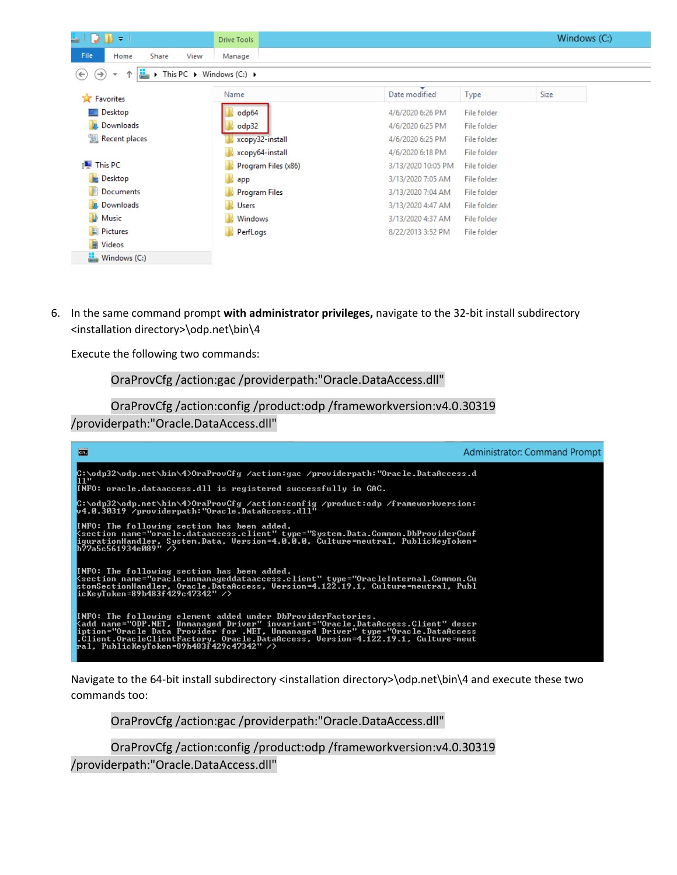| $\mathbf{B} = 1$<br>- 7                                            | Drive Tools                                                             |                    |             |      | Windows (C:) |
|--------------------------------------------------------------------|-------------------------------------------------------------------------|--------------------|-------------|------|--------------|
| File<br>Home<br>Share                                              | View<br>Manage                                                          |                    |             |      |              |
| ↑<br>$(\Leftarrow)$<br>$(\rightarrow)$<br>$\overline{\phantom{a}}$ | $\triangleright$ This PC $\triangleright$ Windows (C:) $\triangleright$ |                    |             |      |              |
| <b>X</b> Favorites                                                 | Name                                                                    | Date modified      | <b>Type</b> | Size |              |
| Desktop                                                            | odp64                                                                   | 4/6/2020 6:26 PM   | File folder |      |              |
| <b>Downloads</b>                                                   | odp32                                                                   | 4/6/2020 6:25 PM   | File folder |      |              |
| Recent places                                                      | xcopy32-install                                                         | 4/6/2020 6:25 PM   | File folder |      |              |
|                                                                    | xcopy64-install                                                         | 4/6/2020 6:18 PM   | File folder |      |              |
| <b>I</b> This PC                                                   | Program Files (x86)                                                     | 3/13/2020 10:05 PM | File folder |      |              |
| Desktop                                                            | app                                                                     | 3/13/2020 7:05 AM  | File folder |      |              |
| Documents                                                          | <b>Program Files</b>                                                    | 3/13/2020 7:04 AM  | File folder |      |              |
| <b>Downloads</b>                                                   | Users                                                                   | 3/13/2020 4:47 AM  | File folder |      |              |
| <b>Music</b>                                                       | Windows                                                                 | 3/13/2020 4:37 AM  | File folder |      |              |
| <b>Pictures</b>                                                    | PerfLogs                                                                | 8/22/2013 3:52 PM  | File folder |      |              |
| <b>N</b> Videos                                                    |                                                                         |                    |             |      |              |
| $\frac{1}{2}$ Windows (C:)                                         |                                                                         |                    |             |      |              |

6. In the same command prompt **with administrator privileges,** navigate to the 32-bit install subdirectory <installation directory>\odp.net\bin\4

Execute the following two commands:

#### OraProvCfg /action:gac /providerpath:"Oracle.DataAccess.dll"

OraProvCfg /action:config /product:odp /frameworkversion:v4.0.30319 /providerpath:"Oracle.DataAccess.dll"



Navigate to the 64-bit install subdirectory <installation directory>\odp.net\bin\4 and execute these two commands too:

OraProvCfg /action:gac /providerpath:"Oracle.DataAccess.dll"

OraProvCfg /action:config /product:odp /frameworkversion:v4.0.30319 /providerpath:"Oracle.DataAccess.dll"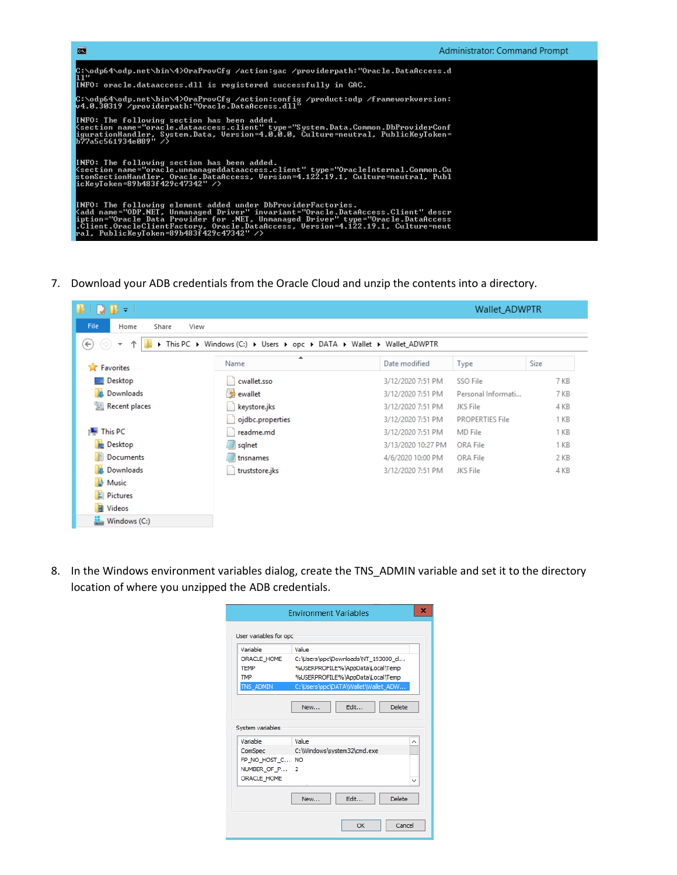

7. Download your ADB credentials from the Oracle Cloud and unzip the contents into a directory.

| 13 III<br>- ⊽                                   |                                                                        |                    | Wallet ADWPTR          |             |
|-------------------------------------------------|------------------------------------------------------------------------|--------------------|------------------------|-------------|
| <b>File</b><br>Share<br>View<br>Home            |                                                                        |                    |                        |             |
| $(\Leftarrow)$<br>Ϋ<br>$\overline{\phantom{a}}$ | > This PC > Windows (C:) > Users > opc > DATA > Wallet > Wallet_ADWPTR |                    |                        |             |
| <b>Favorites</b><br>❤                           | ×<br>Name                                                              | Date modified      | <b>Type</b>            | <b>Size</b> |
| Desktop                                         | cwallet.sso                                                            | 3/12/2020 7:51 PM  | <b>SSO File</b>        | 7 KB        |
| <b>Downloads</b>                                | sewallet                                                               | 3/12/2020 7:51 PM  | Personal Informati     | 7 KB        |
| <sup>"</sup> 原 Recent places                    | keystore.jks                                                           | 3/12/2020 7:51 PM  | JKS File               | 4 KB        |
|                                                 | ojdbc.properties                                                       | 3/12/2020 7:51 PM  | <b>PROPERTIES File</b> | 1 KB        |
| <b>IU</b> This PC                               | readme.md                                                              | 3/12/2020 7:51 PM  | <b>MD</b> File         | 1 KB        |
| <b>Desktop</b>                                  | sqlnet                                                                 | 3/13/2020 10:27 PM | <b>ORA File</b>        | 1 KB        |
| E<br>Documents                                  | tnsnames                                                               | 4/6/2020 10:00 PM  | <b>ORA File</b>        | 2 KB        |
| <b>Downloads</b>                                | truststore.jks                                                         | 3/12/2020 7:51 PM  | <b>JKS File</b>        | 4 KB        |
| W.<br>Music                                     |                                                                        |                    |                        |             |
| <b>Pictures</b>                                 |                                                                        |                    |                        |             |
| <b>N</b> Videos                                 |                                                                        |                    |                        |             |
| Windows (C:)                                    |                                                                        |                    |                        |             |

8. In the Windows environment variables dialog, create the TNS\_ADMIN variable and set it to the directory location of where you unzipped the ADB credentials.

| Variable                                                                                          | Value                               |
|---------------------------------------------------------------------------------------------------|-------------------------------------|
| <b>ORACLE HOME</b>                                                                                | C:\Users\opc\Downloads\NT_193000_d  |
| <b>TFMP</b>                                                                                       | %USERPROFILE%\AppData\Local\Temp    |
| <b>TMP</b>                                                                                        | %USERPROFILE%\AppData\Local\Temp    |
| TNS_ADMIN                                                                                         | C:\Users\opc\DATA\Wallet\Wallet_ADW |
|                                                                                                   |                                     |
|                                                                                                   |                                     |
|                                                                                                   | Fdit<br>Delete<br>New               |
|                                                                                                   |                                     |
|                                                                                                   | Value                               |
|                                                                                                   | C:\Windows\system32\cmd.exe         |
|                                                                                                   |                                     |
| System variables<br>Variable<br>ComSpec<br>FP NO HOST C NO<br>NUMBER OF P 2<br><b>ORACLE HOME</b> |                                     |
|                                                                                                   |                                     |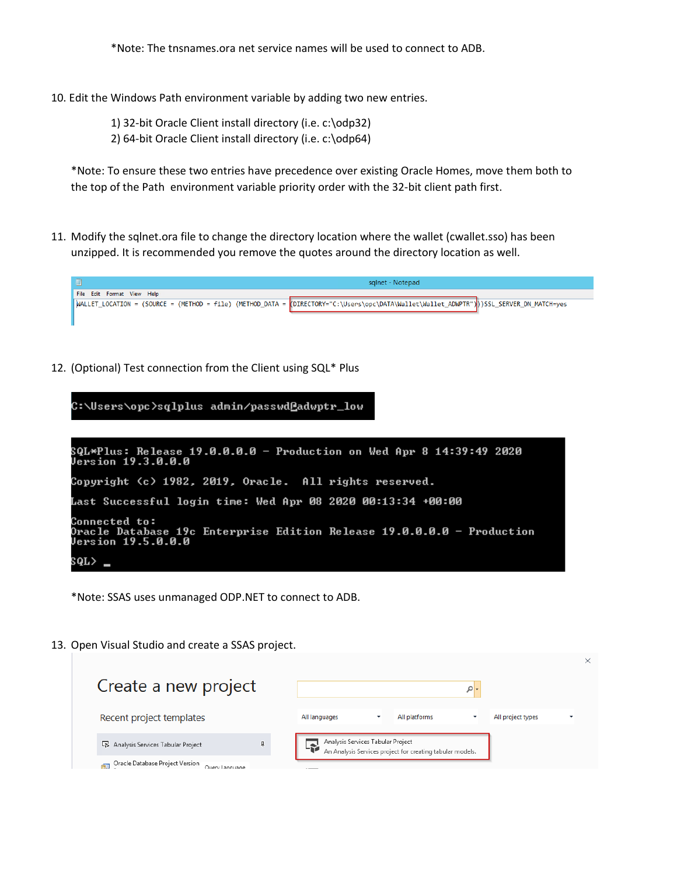\*Note: The tnsnames.ora net service names will be used to connect to ADB.

10. Edit the Windows Path environment variable by adding two new entries.

1) 32-bit Oracle Client install directory (i.e. c:\odp32)

2) 64-bit Oracle Client install directory (i.e. c:\odp64)

\*Note: To ensure these two entries have precedence over existing Oracle Homes, move them both to the top of the Path environment variable priority order with the 32-bit client path first.

11. Modify the sqlnet.ora file to change the directory location where the wallet (cwallet.sso) has been unzipped. It is recommended you remove the quotes around the directory location as well.



12. (Optional) Test connection from the Client using SQL\* Plus



\*Note: SSAS uses unmanaged ODP.NET to connect to ADB.

13. Open Visual Studio and create a SSAS project.

| Create a new project                                     |                                                                                                |
|----------------------------------------------------------|------------------------------------------------------------------------------------------------|
| Recent project templates                                 | All platforms<br>All project types<br>All languages                                            |
| Analysis Services Tabular Project                        | Analysis Services Tabular Project<br>An Analysis Services project for creating tabular models. |
| Oracle Database Project Version<br>ra.<br>Ouery Language |                                                                                                |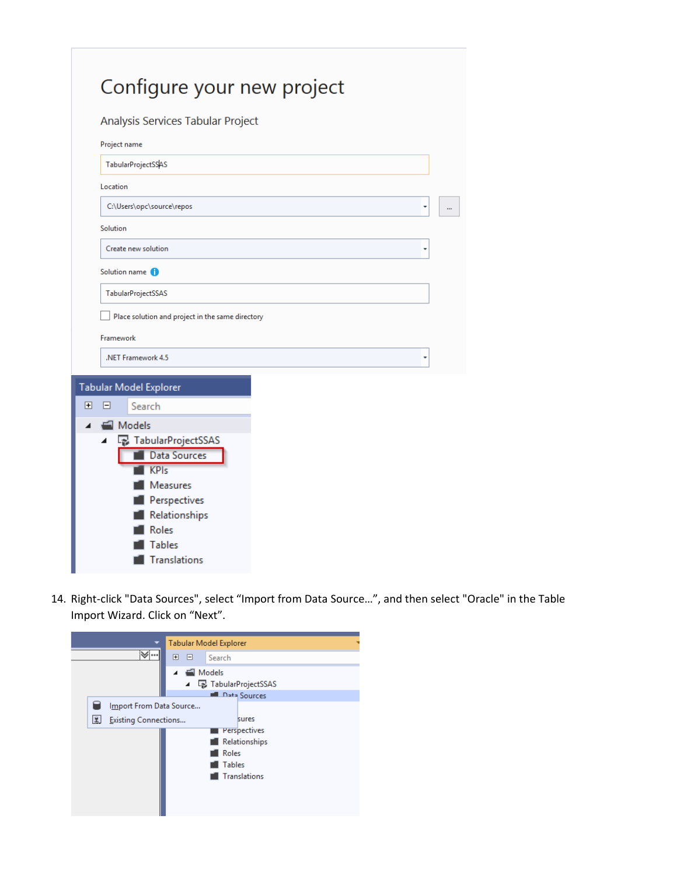| Configure your new project                       |  |
|--------------------------------------------------|--|
| Analysis Services Tabular Project                |  |
| Project name                                     |  |
| <b>TabularProjectSSAS</b>                        |  |
| Location                                         |  |
| C:\Users\opc\source\repos                        |  |
| Solution                                         |  |
| Create new solution                              |  |
| Solution name (1)                                |  |
| TabularProjectSSAS                               |  |
| Place solution and project in the same directory |  |
| Framework                                        |  |
| .NET Framework 4.5                               |  |
|                                                  |  |
| <b>Tabular Model Explorer</b>                    |  |
| $\mathbf{F}$<br>⊟<br>Search                      |  |
| Models                                           |  |
| B TabularProjectSSAS<br>◢<br><b>Data Sources</b> |  |
| <b>KPIs</b>                                      |  |
| Measures                                         |  |
| Perspectives                                     |  |
| Relationships                                    |  |
| Roles                                            |  |
| <b>Tables</b>                                    |  |
| <b>Translations</b>                              |  |

14. Right-click "Data Sources", select "Import from Data Source…", and then select "Oracle" in the Table Import Wizard. Click on "Next".

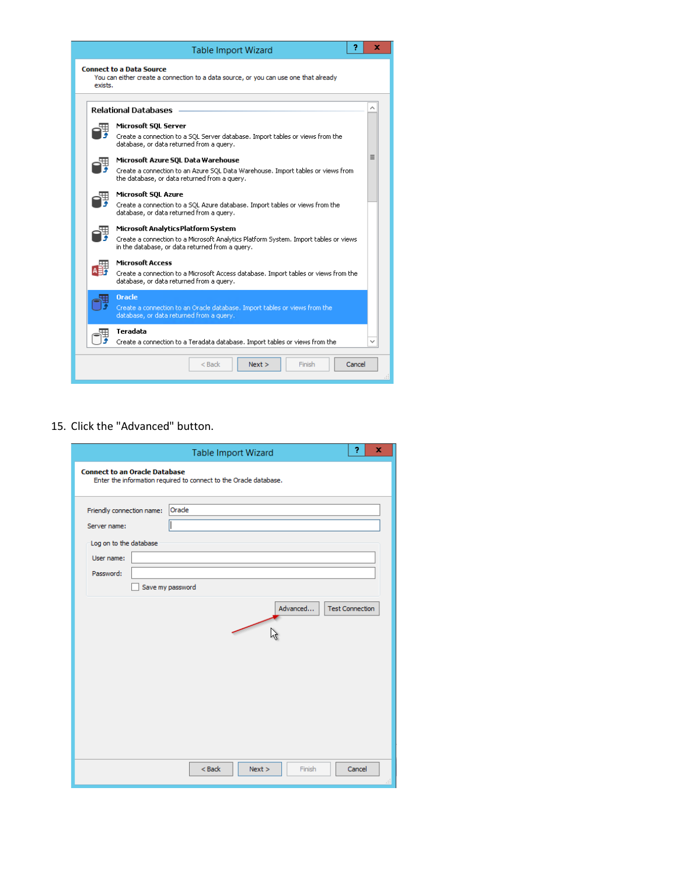

#### 15. Click the "Advanced" button.

|                                                                                                | <b>Table Import Wizard</b>                                        | Ÿ.     | x |
|------------------------------------------------------------------------------------------------|-------------------------------------------------------------------|--------|---|
| <b>Connect to an Oracle Database</b>                                                           | Enter the information required to connect to the Oracle database. |        |   |
| Friendly connection name:<br>Server name:<br>Log on to the database<br>User name:<br>Password: | Oracle<br>Save my password<br>Advanced<br><b>Test Connection</b>  |        |   |
|                                                                                                | $<$ Back<br>Finish<br>Next >                                      | Cancel | đ |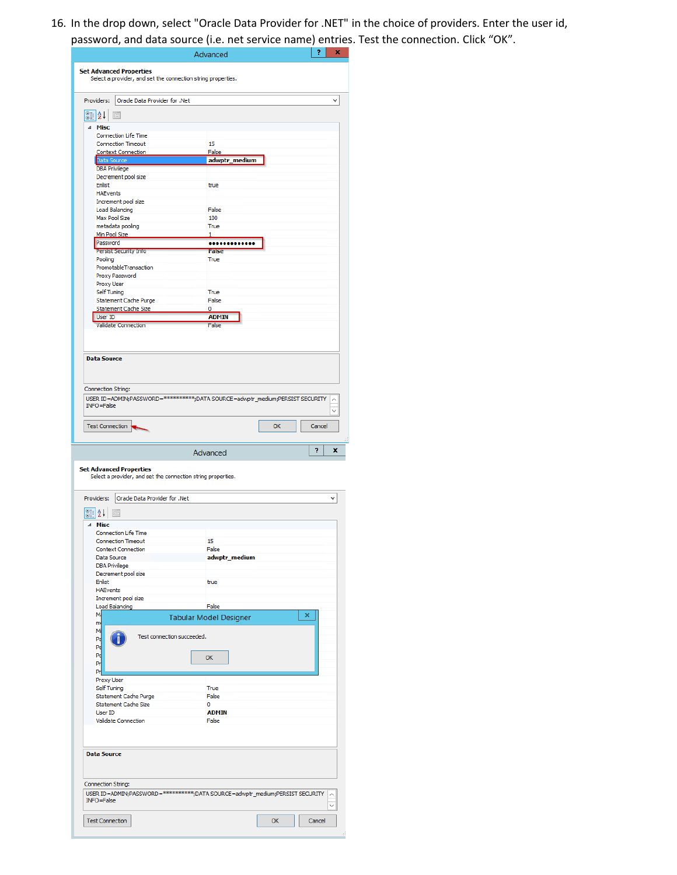16. In the drop down, select "Oracle Data Provider for .NET" in the choice of providers. Enter the user id, password, and data source (i.e. net service name) entries. Test the connection. Click "OK".

|                                                                                                     | Advanced                      |    | ×<br>7       |
|-----------------------------------------------------------------------------------------------------|-------------------------------|----|--------------|
| <b>Set Advanced Properties</b>                                                                      |                               |    |              |
| Select a provider, and set the connection string properties.                                        |                               |    |              |
|                                                                                                     |                               |    |              |
| Providers:<br>Oracle Data Provider for .Net                                                         |                               |    | v            |
| $\frac{1}{2}$                                                                                       |                               |    |              |
| ⊿ Misc                                                                                              |                               |    |              |
| <b>Connection Life Time</b>                                                                         |                               |    |              |
| <b>Connection Timeout</b><br><b>Context Connection</b>                                              | 15<br>False                   |    |              |
| Data Source                                                                                         | adwptr_medium                 |    |              |
| <b>DBA Privilege</b><br>Decrement pool size                                                         |                               |    |              |
| <b>Enlist</b>                                                                                       | true                          |    |              |
| <b>HAEvents</b>                                                                                     |                               |    |              |
| Increment pool size<br><b>Load Balancing</b>                                                        | False                         |    |              |
| Max Pool Size                                                                                       | 100                           |    |              |
| metadata pooling                                                                                    | <b>True</b>                   |    |              |
| Min Pool Size<br>Password                                                                           | 1<br>                         |    |              |
| <b>Persist Security Info</b>                                                                        | <b>False</b>                  |    |              |
| Pooling                                                                                             | True                          |    |              |
| PromotableTransaction<br>Proxy Password                                                             |                               |    |              |
| Proxy User                                                                                          |                               |    |              |
| Self Tuning                                                                                         | True                          |    |              |
| <b>Statement Cache Purge</b><br><b>Statement Cache Size</b>                                         | False<br>0                    |    |              |
| <b>User ID</b>                                                                                      | <b>ADMIN</b>                  |    |              |
| <b>Validate Connection</b>                                                                          | False                         |    |              |
|                                                                                                     |                               |    |              |
|                                                                                                     |                               |    |              |
| <b>Data Source</b>                                                                                  |                               |    |              |
|                                                                                                     |                               |    |              |
|                                                                                                     |                               |    |              |
| Connection String:<br>USER ID=ADMIN;PASSWORD=***********;DATA SOURCE=adwptr_medium;PERSIST SECURITY |                               |    |              |
| <b>INFO=False</b>                                                                                   |                               |    | $\checkmark$ |
|                                                                                                     |                               |    |              |
|                                                                                                     |                               |    |              |
| Test Connection                                                                                     |                               | OK | Cancel       |
|                                                                                                     |                               |    |              |
|                                                                                                     | Advanced                      |    | ?<br>x       |
|                                                                                                     |                               |    |              |
| Select a provider, and set the connection string properties.                                        |                               |    |              |
|                                                                                                     |                               |    |              |
| Oracle Data Provider for .Net<br>Providers:                                                         |                               |    | v            |
|                                                                                                     |                               |    |              |
| 81<br>žł                                                                                            |                               |    |              |
| Misc<br>⊿<br><b>Connection Life Time</b>                                                            |                               |    |              |
| <b>Connection Timeout</b>                                                                           | 15                            |    |              |
| <b>Context Connection</b>                                                                           | False                         |    |              |
| Data Source<br><b>DBA Privilege</b>                                                                 | adwptr medium                 |    |              |
| Decrement pool size                                                                                 |                               |    |              |
| Enlist                                                                                              | true                          |    |              |
| <b>HAEvents</b><br>Increment pool size                                                              |                               |    |              |
| <b>Load Balancing</b>                                                                               | False                         |    |              |
| M.                                                                                                  | <b>Tabular Model Designer</b> |    | ×            |
| m<br>M                                                                                              |                               |    |              |
| Test connection succeeded.<br>Pa                                                                    |                               |    |              |
| Pe                                                                                                  |                               |    |              |
| Po<br>Pr                                                                                            | OK                            |    |              |
| Pr                                                                                                  |                               |    |              |
| Proxy User                                                                                          |                               |    |              |
| Self Tuning                                                                                         | True                          |    |              |
| <b>Statement Cache Purge</b><br>Statement Cache Size                                                | False<br>0                    |    |              |
| User ID                                                                                             | <b>ADMIN</b>                  |    |              |
| Validate Connection                                                                                 | False                         |    |              |
|                                                                                                     |                               |    |              |
|                                                                                                     |                               |    |              |
| <b>Data Source</b>                                                                                  |                               |    |              |
|                                                                                                     |                               |    |              |
|                                                                                                     |                               |    |              |
| Connection String:                                                                                  |                               |    |              |
| USER ID=ADMIN;PASSWORD=**********;DATA SOURCE=adwptr_medium;PERSIST SECURITY<br><b>INFO=False</b>   |                               |    |              |
| <b>Set Advanced Properties</b><br><b>Test Connection</b>                                            |                               | OK |              |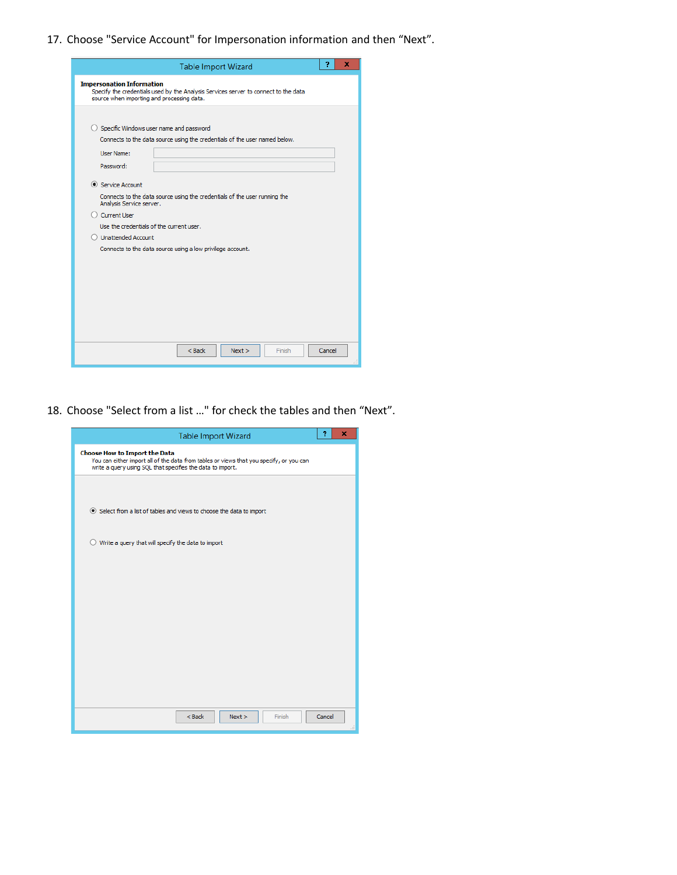17. Choose "Service Account" for Impersonation information and then "Next".

| <b>Table Import Wizard</b>                                                                                                                                            | 9      | x |
|-----------------------------------------------------------------------------------------------------------------------------------------------------------------------|--------|---|
| <b>Impersonation Information</b><br>Specify the credentials used by the Analysis Services server to connect to the data<br>source when importing and processing data. |        |   |
| $\bigcirc$ Specific Windows user name and password<br>Connects to the data source using the credentials of the user named below.<br><b>User Name:</b>                 |        |   |
| Password:                                                                                                                                                             |        |   |
| Service Account                                                                                                                                                       |        |   |
| Connects to the data source using the credentials of the user running the<br>Analysis Service server.                                                                 |        |   |
| Current User                                                                                                                                                          |        |   |
| Use the credentials of the current user.                                                                                                                              |        |   |
| O Unattended Account                                                                                                                                                  |        |   |
| Connects to the data source using a low privilege account.                                                                                                            |        |   |
|                                                                                                                                                                       |        |   |
|                                                                                                                                                                       |        |   |
|                                                                                                                                                                       |        |   |
|                                                                                                                                                                       |        |   |
|                                                                                                                                                                       |        |   |
|                                                                                                                                                                       |        |   |
|                                                                                                                                                                       |        |   |
| $<$ Back<br>Next<br>Finish                                                                                                                                            | Cancel |   |
|                                                                                                                                                                       |        |   |

18. Choose "Select from a list …" for check the tables and then "Next".

| <b>Table Import Wizard</b>                                                                                                                                                                    | 7      | × |
|-----------------------------------------------------------------------------------------------------------------------------------------------------------------------------------------------|--------|---|
| <b>Choose How to Import the Data</b><br>You can either import all of the data from tables or views that you specify, or you can<br>write a query using SQL that specifies the data to import. |        |   |
| Select from a list of tables and views to choose the data to import                                                                                                                           |        |   |
| $\bigcirc$ Write a query that will specify the data to import                                                                                                                                 |        |   |
|                                                                                                                                                                                               |        |   |
|                                                                                                                                                                                               |        |   |
|                                                                                                                                                                                               |        |   |
|                                                                                                                                                                                               |        |   |
| $<$ Back<br>Next<br>Finish                                                                                                                                                                    | Cancel |   |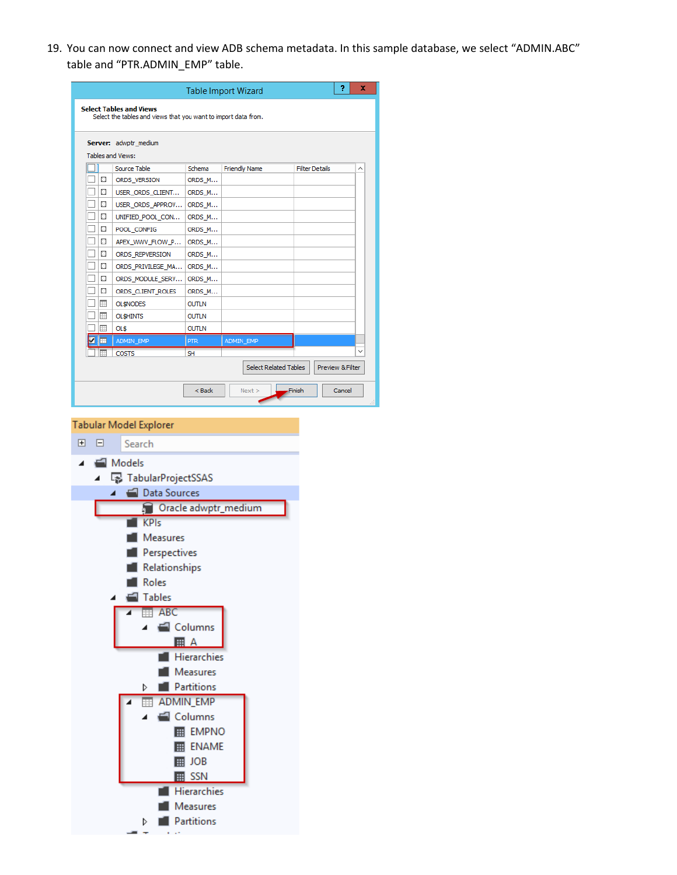19. You can now connect and view ADB schema metadata. In this sample database, we select "ADMIN.ABC" table and "PTR.ADMIN\_EMP" table.

|                                                                |    |                                                            |                  | <b>Table Import Wizard</b>   | 7<br>x                     |  |  |  |
|----------------------------------------------------------------|----|------------------------------------------------------------|------------------|------------------------------|----------------------------|--|--|--|
|                                                                |    | <b>Select Tables and Views</b>                             |                  |                              |                            |  |  |  |
| Select the tables and views that you want to import data from. |    |                                                            |                  |                              |                            |  |  |  |
|                                                                |    | Server: adwptr_medium                                      |                  |                              |                            |  |  |  |
|                                                                |    | Tables and Views:                                          |                  |                              |                            |  |  |  |
|                                                                |    | Source Table                                               | Schema           | <b>Friendly Name</b>         | <b>Filter Details</b><br>∧ |  |  |  |
|                                                                | ж  | ORDS_VERSION                                               | ORDS_M           |                              |                            |  |  |  |
| $\Box$                                                         | х  | USER_ORDS_CLIENT                                           | ORDS_M           |                              |                            |  |  |  |
|                                                                | х  | USER_ORDS_APPROV                                           | ORDS_M           |                              |                            |  |  |  |
|                                                                | ж  | UNIFIED_POOL_CON                                           | ORDS_M           |                              |                            |  |  |  |
| $\Box$                                                         | x  | POOL_CONFIG                                                | ORDS_M           |                              |                            |  |  |  |
| HE                                                             |    | APEX_WWV_FLOW_P                                            | ORDS_M           |                              |                            |  |  |  |
| ⊔<br>- 6                                                       | ١u | ORDS_REPVERSION                                            | ORDS_M           |                              |                            |  |  |  |
| Πĸ                                                             |    | ORDS_PRIVILEGE_MA                                          | ORDS_M           |                              |                            |  |  |  |
|                                                                | ж  | ORDS_MODULE_SERV<br>ORDS_CLIENT_ROLES                      | ORDS_M<br>ORDS_M |                              |                            |  |  |  |
|                                                                | 圃  | <b>OL\$NODES</b>                                           | <b>OUTLN</b>     |                              |                            |  |  |  |
|                                                                | ▦  | <b>OLSHINTS</b>                                            | <b>OUTLN</b>     |                              |                            |  |  |  |
|                                                                | ▦  | OL\$                                                       | <b>OUTLN</b>     |                              |                            |  |  |  |
|                                                                | ▣  | ADMIN_EMP                                                  | <b>PTR</b>       | ADMIN_EMP                    |                            |  |  |  |
|                                                                |    | <b>COSTS</b>                                               | <b>SH</b>        |                              |                            |  |  |  |
|                                                                |    |                                                            |                  | <b>Select Related Tables</b> | Preview & Filter           |  |  |  |
|                                                                |    |                                                            |                  |                              |                            |  |  |  |
|                                                                |    |                                                            | < Back           | Next                         | <b>Finish</b><br>Cancel    |  |  |  |
|                                                                |    | Models<br><b>B</b> TabularProjectSSAS<br>Data Sources<br>◢ |                  |                              |                            |  |  |  |
|                                                                |    |                                                            |                  | Oracle adwptr_medium         |                            |  |  |  |
|                                                                |    | <b>KPIs</b>                                                |                  |                              |                            |  |  |  |
|                                                                |    | Measures                                                   |                  |                              |                            |  |  |  |
|                                                                |    | Perspectives                                               |                  |                              |                            |  |  |  |
|                                                                |    |                                                            |                  |                              |                            |  |  |  |
|                                                                |    | Relationships                                              |                  |                              |                            |  |  |  |
|                                                                |    | Roles                                                      |                  |                              |                            |  |  |  |
|                                                                |    | <b>Tables</b>                                              |                  |                              |                            |  |  |  |
|                                                                |    | $\overline{AB}$ ABC                                        |                  |                              |                            |  |  |  |
|                                                                |    | ◢                                                          | Columns          |                              |                            |  |  |  |
|                                                                |    |                                                            | <b>圃 A</b>       |                              |                            |  |  |  |
|                                                                |    |                                                            | Hierarchies      |                              |                            |  |  |  |
|                                                                |    |                                                            | Measures         |                              |                            |  |  |  |
|                                                                |    |                                                            |                  |                              |                            |  |  |  |
|                                                                |    | D                                                          | Partitions       |                              |                            |  |  |  |
|                                                                |    | 賱                                                          | <b>ADMIN_EMP</b> |                              |                            |  |  |  |
|                                                                |    |                                                            | Columns          |                              |                            |  |  |  |
|                                                                |    |                                                            | <b>EE</b> EMPNO  |                              |                            |  |  |  |
| <b>ER ENAME</b>                                                |    |                                                            |                  |                              |                            |  |  |  |
| ⊞ JOB                                                          |    |                                                            |                  |                              |                            |  |  |  |
|                                                                |    |                                                            | $\mathbb{H}$ SSN |                              |                            |  |  |  |
|                                                                |    |                                                            | Hierarchies      |                              |                            |  |  |  |
|                                                                |    |                                                            | Measures         |                              |                            |  |  |  |
|                                                                |    |                                                            |                  |                              |                            |  |  |  |

 $\triangleright$   $\blacksquare$  Partitions  $\alpha = 1.5$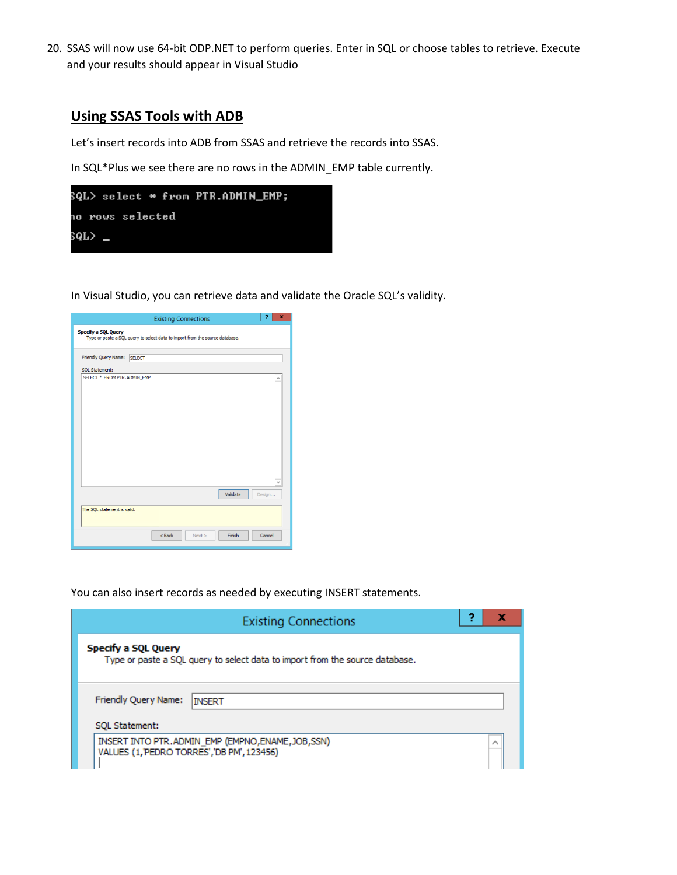20. SSAS will now use 64-bit ODP.NET to perform queries. Enter in SQL or choose tables to retrieve. Execute and your results should appear in Visual Studio

### **Using SSAS Tools with ADB**

Let's insert records into ADB from SSAS and retrieve the records into SSAS.

In SQL\*Plus we see there are no rows in the ADMIN\_EMP table currently.



In Visual Studio, you can retrieve data and validate the Oracle SQL's validity.



You can also insert records as needed by executing INSERT statements.

| <b>Existing Connections</b>                                                                                |  |  |  |  |  |  |  |
|------------------------------------------------------------------------------------------------------------|--|--|--|--|--|--|--|
| <b>Specify a SQL Query</b><br>Type or paste a SQL query to select data to import from the source database. |  |  |  |  |  |  |  |
| Friendly Query Name:<br><b>INSERT</b>                                                                      |  |  |  |  |  |  |  |
| SOL Statement:                                                                                             |  |  |  |  |  |  |  |
| INSERT INTO PTR. ADMIN_EMP (EMPNO, ENAME, JOB, SSN)<br>VALUES (1, 'PEDRO TORRES', 'DB PM', 123456)         |  |  |  |  |  |  |  |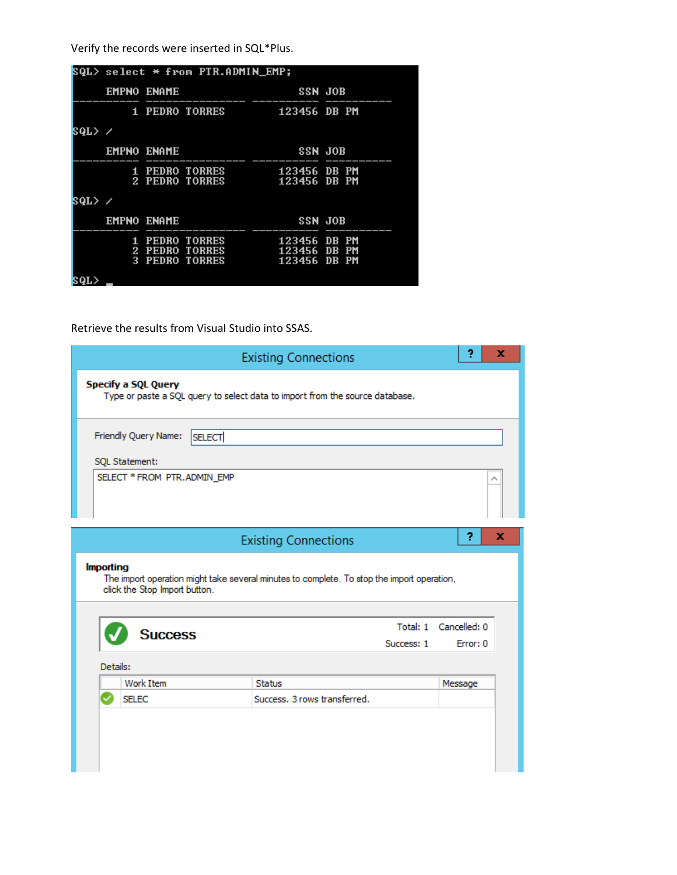Verify the records were inserted in SQL\*Plus.

|        |   |                    | SQL> select * from PTR.ADMIN_EMP;                       |                                                            |  |
|--------|---|--------------------|---------------------------------------------------------|------------------------------------------------------------|--|
|        |   | <b>EMPNO ENAME</b> | E<br>------------   ----                                | SSN JOB                                                    |  |
|        |   |                    |                                                         | 1 PEDRO TORRES 123456 DB PM                                |  |
| SQL> ⁄ |   |                    |                                                         |                                                            |  |
|        |   | <b>EMPNO ENAME</b> |                                                         | <b>SSN JOB</b>                                             |  |
|        |   |                    |                                                         | 1 PEDRO TORRES 123456 DB PM<br>2 PEDRO TORRES 123456 DB PM |  |
| SQL> ⁄ |   |                    |                                                         |                                                            |  |
|        |   | <b>EMPNO ENAME</b> |                                                         | SSN JOB                                                    |  |
|        | 2 |                    | 1 PEDRO TORRES<br>PEDRO TORRES<br><b>3 PEDRO TORRES</b> | 123456 DB PM<br>123456 DB PM<br>123456 DB PM               |  |
| 8QL>   |   |                    |                                                         |                                                            |  |

Retrieve the results from Visual Studio into SSAS.

| <b>Existing Connections</b> |                                                                                                                             |                              |            |                       |   |  |  |
|-----------------------------|-----------------------------------------------------------------------------------------------------------------------------|------------------------------|------------|-----------------------|---|--|--|
|                             | <b>Specify a SQL Query</b><br>Type or paste a SQL query to select data to import from the source database.                  |                              |            |                       |   |  |  |
|                             | Friendly Query Name:<br><b>SELECT</b>                                                                                       |                              |            |                       |   |  |  |
|                             | SQL Statement:                                                                                                              |                              |            |                       |   |  |  |
|                             | SELECT * FROM PTR.ADMIN_EMP                                                                                                 |                              |            |                       |   |  |  |
|                             |                                                                                                                             |                              |            | 2                     | x |  |  |
|                             |                                                                                                                             | <b>Existing Connections</b>  |            |                       |   |  |  |
| <b>Importing</b>            | The import operation might take several minutes to complete. To stop the import operation,<br>click the Stop Import button. |                              |            |                       |   |  |  |
|                             |                                                                                                                             |                              |            | Total: 1 Cancelled: 0 |   |  |  |
|                             | <b>Success</b>                                                                                                              |                              | Success: 1 | Error: 0              |   |  |  |
|                             | Details:                                                                                                                    |                              |            |                       |   |  |  |
|                             | <b>Work Item</b>                                                                                                            | <b>Status</b>                |            | Message               |   |  |  |
|                             | <b>SFLEC</b>                                                                                                                | Success, 3 rows transferred. |            |                       |   |  |  |